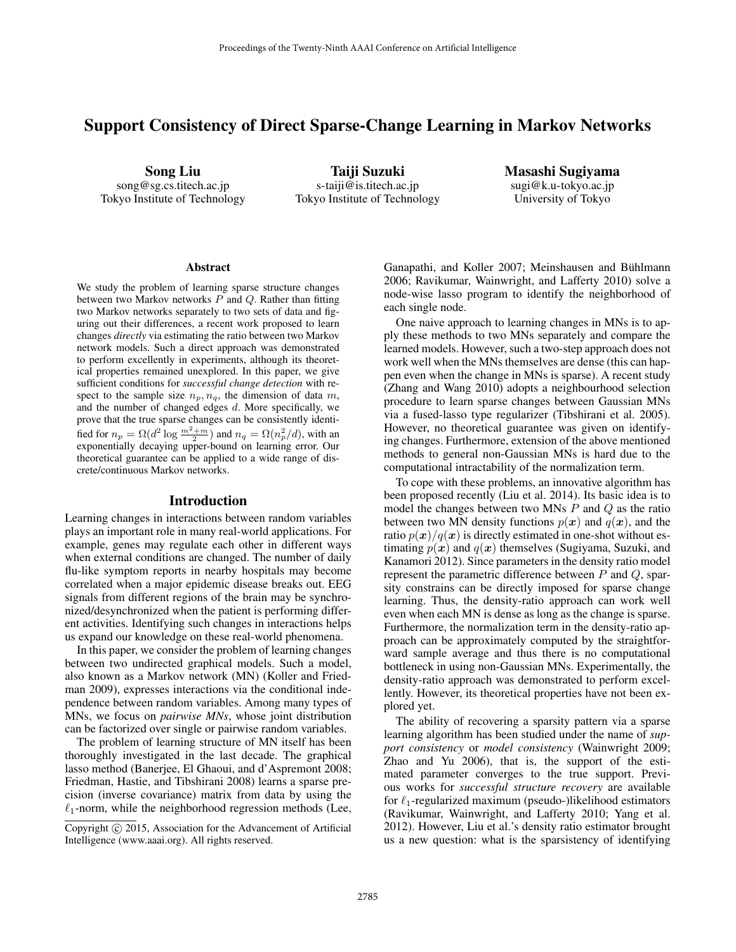# Support Consistency of Direct Sparse-Change Learning in Markov Networks

Song Liu song@sg.cs.titech.ac.jp Tokyo Institute of Technology

Taiji Suzuki s-taiji@is.titech.ac.jp Tokyo Institute of Technology Masashi Sugiyama sugi@k.u-tokyo.ac.jp University of Tokyo

#### **Abstract**

We study the problem of learning sparse structure changes between two Markov networks  $P$  and  $Q$ . Rather than fitting two Markov networks separately to two sets of data and figuring out their differences, a recent work proposed to learn changes *directly* via estimating the ratio between two Markov network models. Such a direct approach was demonstrated to perform excellently in experiments, although its theoretical properties remained unexplored. In this paper, we give sufficient conditions for *successful change detection* with respect to the sample size  $n_p, n_q$ , the dimension of data m, and the number of changed edges  $d$ . More specifically, we prove that the true sparse changes can be consistently identified for  $n_p = \Omega(d^2 \log \frac{m^2 + m}{2})$  and  $n_q = \Omega(n_p^2/d)$ , with an exponentially decaying upper-bound on learning error. Our theoretical guarantee can be applied to a wide range of discrete/continuous Markov networks.

### Introduction

Learning changes in interactions between random variables plays an important role in many real-world applications. For example, genes may regulate each other in different ways when external conditions are changed. The number of daily flu-like symptom reports in nearby hospitals may become correlated when a major epidemic disease breaks out. EEG signals from different regions of the brain may be synchronized/desynchronized when the patient is performing different activities. Identifying such changes in interactions helps us expand our knowledge on these real-world phenomena.

In this paper, we consider the problem of learning changes between two undirected graphical models. Such a model, also known as a Markov network (MN) (Koller and Friedman 2009), expresses interactions via the conditional independence between random variables. Among many types of MNs, we focus on *pairwise MNs*, whose joint distribution can be factorized over single or pairwise random variables.

The problem of learning structure of MN itself has been thoroughly investigated in the last decade. The graphical lasso method (Banerjee, El Ghaoui, and d'Aspremont 2008; Friedman, Hastie, and Tibshirani 2008) learns a sparse precision (inverse covariance) matrix from data by using the  $\ell_1$ -norm, while the neighborhood regression methods (Lee, Ganapathi, and Koller 2007; Meinshausen and Bühlmann 2006; Ravikumar, Wainwright, and Lafferty 2010) solve a node-wise lasso program to identify the neighborhood of each single node.

One naive approach to learning changes in MNs is to apply these methods to two MNs separately and compare the learned models. However, such a two-step approach does not work well when the MNs themselves are dense (this can happen even when the change in MNs is sparse). A recent study (Zhang and Wang 2010) adopts a neighbourhood selection procedure to learn sparse changes between Gaussian MNs via a fused-lasso type regularizer (Tibshirani et al. 2005). However, no theoretical guarantee was given on identifying changes. Furthermore, extension of the above mentioned methods to general non-Gaussian MNs is hard due to the computational intractability of the normalization term.

To cope with these problems, an innovative algorithm has been proposed recently (Liu et al. 2014). Its basic idea is to model the changes between two MNs  $P$  and  $Q$  as the ratio between two MN density functions  $p(x)$  and  $q(x)$ , and the ratio  $p(x)/q(x)$  is directly estimated in one-shot without estimating  $p(x)$  and  $q(x)$  themselves (Sugiyama, Suzuki, and Kanamori 2012). Since parameters in the density ratio model represent the parametric difference between  $P$  and  $Q$ , sparsity constrains can be directly imposed for sparse change learning. Thus, the density-ratio approach can work well even when each MN is dense as long as the change is sparse. Furthermore, the normalization term in the density-ratio approach can be approximately computed by the straightforward sample average and thus there is no computational bottleneck in using non-Gaussian MNs. Experimentally, the density-ratio approach was demonstrated to perform excellently. However, its theoretical properties have not been explored yet.

The ability of recovering a sparsity pattern via a sparse learning algorithm has been studied under the name of *support consistency* or *model consistency* (Wainwright 2009; Zhao and Yu 2006), that is, the support of the estimated parameter converges to the true support. Previous works for *successful structure recovery* are available for  $\ell_1$ -regularized maximum (pseudo-)likelihood estimators (Ravikumar, Wainwright, and Lafferty 2010; Yang et al. 2012). However, Liu et al.'s density ratio estimator brought us a new question: what is the sparsistency of identifying

Copyright  $\odot$  2015, Association for the Advancement of Artificial Intelligence (www.aaai.org). All rights reserved.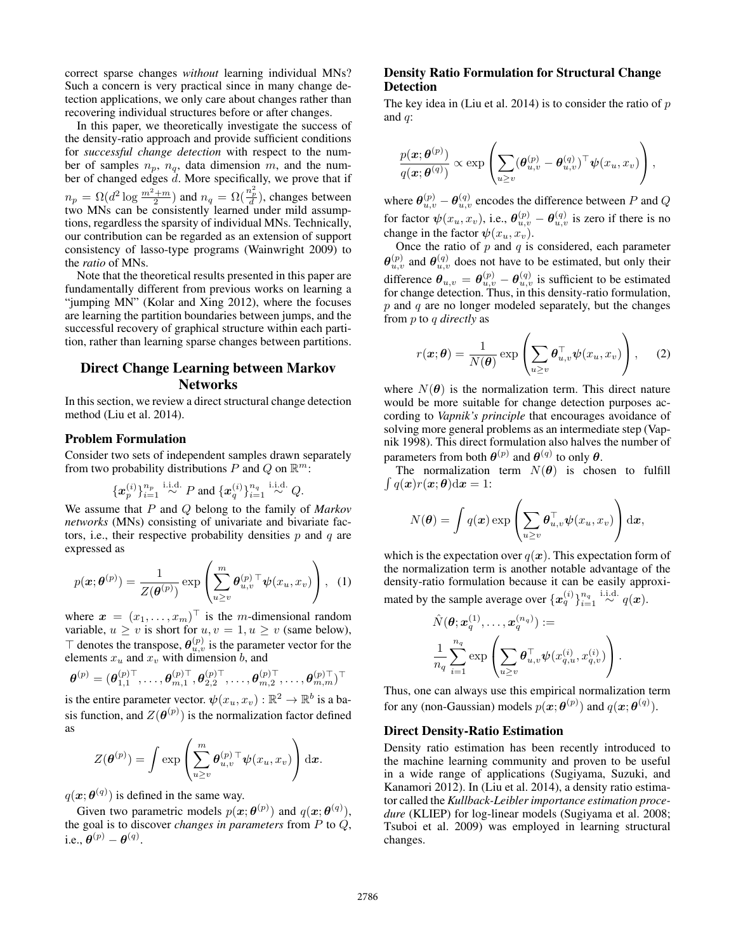correct sparse changes *without* learning individual MNs? Such a concern is very practical since in many change detection applications, we only care about changes rather than recovering individual structures before or after changes.

In this paper, we theoretically investigate the success of the density-ratio approach and provide sufficient conditions for *successful change detection* with respect to the number of samples  $n_p$ ,  $n_q$ , data dimension m, and the number of changed edges  $d$ . More specifically, we prove that if  $n_p = \Omega(d^2 \log \frac{m^2 + m}{2})$  and  $n_q = \Omega(\frac{n_p^2}{d})$ , changes between two MNs can be consistently learned under mild assumptions, regardless the sparsity of individual MNs. Technically, our contribution can be regarded as an extension of support consistency of lasso-type programs (Wainwright 2009) to the *ratio* of MNs.

Note that the theoretical results presented in this paper are fundamentally different from previous works on learning a "jumping MN" (Kolar and Xing 2012), where the focuses are learning the partition boundaries between jumps, and the successful recovery of graphical structure within each partition, rather than learning sparse changes between partitions.

# Direct Change Learning between Markov **Networks**

In this section, we review a direct structural change detection method (Liu et al. 2014).

#### Problem Formulation

Consider two sets of independent samples drawn separately from two probability distributions P and Q on  $\mathbb{R}^m$ :

$$
{x_p^{(i)}}_{i=1}^{n_p} \stackrel{\text{i.i.d.}}{\sim} P \text{ and } {x_q^{(i)}}_{i=1}^{n_q} \stackrel{\text{i.i.d.}}{\sim} Q.
$$

We assume that P and Q belong to the family of *Markov networks* (MNs) consisting of univariate and bivariate factors, i.e., their respective probability densities  $p$  and  $q$  are expressed as

$$
p(\boldsymbol{x};\boldsymbol{\theta}^{(p)}) = \frac{1}{Z(\boldsymbol{\theta}^{(p)})} \exp\left(\sum_{u\geq v}^{m} \boldsymbol{\theta}_{u,v}^{(p)}^\top \boldsymbol{\psi}(x_u, x_v)\right), \quad (1)
$$

where  $\boldsymbol{x} = (x_1, \dots, x_m)^\top$  is the *m*-dimensional random variable,  $u \ge v$  is short for  $u, v = 1, u \ge v$  (same below),  $\top$  denotes the transpose,  $\theta_{u,v}^{(p)}$  is the parameter vector for the elements  $x_u$  and  $x_v$  with dimension b, and

$$
\pmb{\theta}^{(p)}=(\pmb{\theta}_{1,1}^{(p)\top},\ldots,\pmb{\theta}_{m,1}^{(p)\top},\pmb{\theta}_{2,2}^{(p)\top},\ldots,\pmb{\theta}_{m,2}^{(p)\top},\ldots,\pmb{\theta}_{m,m}^{(p)\top})^{\top}
$$

is the entire parameter vector.  $\psi(x_u, x_v) : \mathbb{R}^2 \to \mathbb{R}^b$  is a basis function, and  $Z(\theta^{(p)})$  is the normalization factor defined as

$$
Z(\boldsymbol{\theta}^{(p)}) = \int \exp\left(\sum_{u\geq v}^m \boldsymbol{\theta}_{u,v}^{(p)\top} \boldsymbol{\psi}(x_u, x_v)\right) \mathrm{d}\boldsymbol{x}.
$$

 $q(\boldsymbol{x};\boldsymbol{\theta}^{(q)})$  is defined in the same way.

Given two parametric models  $p(x; \theta^{(p)})$  and  $q(x; \theta^{(q)})$ , the goal is to discover *changes in parameters* from P to Q, i.e.,  $\boldsymbol{\theta}^{(p)} - \boldsymbol{\theta}^{(q)}$ .

## Density Ratio Formulation for Structural Change Detection

The key idea in (Liu et al. 2014) is to consider the ratio of  $p$ and  $q$ :

$$
\frac{p(\boldsymbol{x};\boldsymbol{\theta}^{(p)})}{q(\boldsymbol{x};\boldsymbol{\theta}^{(q)})}\propto \exp\left(\sum_{u\geq v}(\boldsymbol{\theta}_{u,v}^{(p)}-\boldsymbol{\theta}_{u,v}^{(q)})^{\top}\boldsymbol{\psi}(x_u,x_v)\right),
$$

where  $\bm{\theta}_{u,v}^{(p)} - \bm{\theta}_{u,v}^{(q)}$  encodes the difference between  $P$  and  $Q$ for factor  $\psi(x_u, x_v)$ , i.e.,  $\theta_{u,v}^{(p)} - \theta_{u,v}^{(q)}$  is zero if there is no change in the factor  $\psi(x_u, x_v)$ .

Once the ratio of  $p$  and  $q$  is considered, each parameter  $\theta_{u,v}^{(p)}$  and  $\theta_{u,v}^{(q)}$  does not have to be estimated, but only their difference  $\theta_{u,v} = \theta_{u,v}^{(p)} - \theta_{u,v}^{(q)}$  is sufficient to be estimated for change detection. Thus, in this density-ratio formulation,  $p$  and  $q$  are no longer modeled separately, but the changes from p to q *directly* as

$$
r(\boldsymbol{x};\boldsymbol{\theta}) = \frac{1}{N(\boldsymbol{\theta})} \exp \left( \sum_{u \ge v} \boldsymbol{\theta}_{u,v}^{\top} \boldsymbol{\psi}(x_u, x_v) \right), \quad (2)
$$

where  $N(\theta)$  is the normalization term. This direct nature would be more suitable for change detection purposes according to *Vapnik's principle* that encourages avoidance of solving more general problems as an intermediate step (Vapnik 1998). This direct formulation also halves the number of parameters from both  $\theta^{(p)}$  and  $\theta^{(q)}$  to only  $\theta$ .

The normalization term  $N(\theta)$  is chosen to fulfill  $\int q(\boldsymbol{x})r(\boldsymbol{x}; \boldsymbol{\theta})\mathrm{d}\boldsymbol{x} = 1:$ 

$$
N(\boldsymbol{\theta}) = \int q(\boldsymbol{x}) \exp \left( \sum_{u \geq v} \boldsymbol{\theta}_{u,v}^{\top} \boldsymbol{\psi}(x_u, x_v) \right) d\boldsymbol{x},
$$

which is the expectation over  $q(x)$ . This expectation form of the normalization term is another notable advantage of the density-ratio formulation because it can be easily approximated by the sample average over  $\{\boldsymbol{x}_q^{(i)}\}_{i=1}^{n_q} \stackrel{\mathrm{i.i.d.}}{\sim} q(\boldsymbol{x}).$ 

$$
\begin{aligned} &\hat{N}(\boldsymbol{\theta};\boldsymbol{x}_q^{(1)},\ldots,\boldsymbol{x}_q^{(n_q)}):= \\ &\frac{1}{n_q} \sum_{i=1}^{n_q} \exp \left( \sum_{u \geq v} \boldsymbol{\theta}_{u,v}^\top \boldsymbol{\psi} (x_{q,u}^{(i)},x_{q,v}^{(i)}) \right). \end{aligned}
$$

Thus, one can always use this empirical normalization term for any (non-Gaussian) models  $p(\mathbf{x}; \boldsymbol{\theta}^{(p)})$  and  $q(\mathbf{x}; \boldsymbol{\theta}^{(q)})$ .

### Direct Density-Ratio Estimation

Density ratio estimation has been recently introduced to the machine learning community and proven to be useful in a wide range of applications (Sugiyama, Suzuki, and Kanamori 2012). In (Liu et al. 2014), a density ratio estimator called the *Kullback-Leibler importance estimation procedure* (KLIEP) for log-linear models (Sugiyama et al. 2008; Tsuboi et al. 2009) was employed in learning structural changes.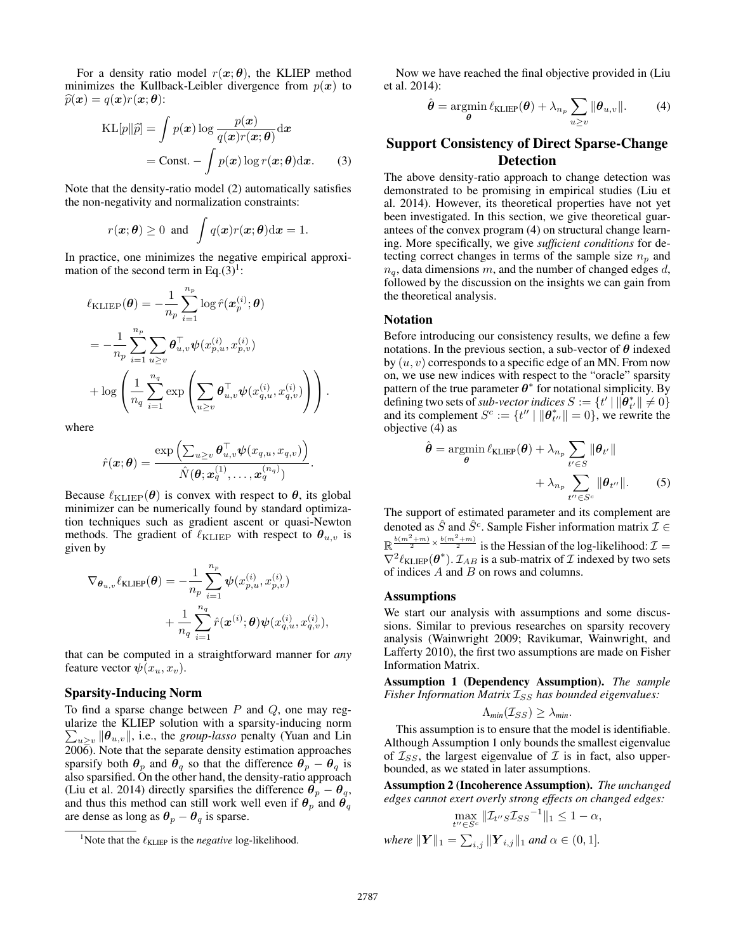For a density ratio model  $r(x; \theta)$ , the KLIEP method minimizes the Kullback-Leibler divergence from  $p(x)$  to  $\widehat{p}(\boldsymbol{x}) = q(\boldsymbol{x})r(\boldsymbol{x}; \boldsymbol{\theta})$ :

$$
KL[p||\widehat{p}] = \int p(\boldsymbol{x}) \log \frac{p(\boldsymbol{x})}{q(\boldsymbol{x})r(\boldsymbol{x}; \boldsymbol{\theta})} d\boldsymbol{x}
$$

$$
= Const. - \int p(\boldsymbol{x}) \log r(\boldsymbol{x}; \boldsymbol{\theta}) d\boldsymbol{x}. \qquad (3)
$$

Note that the density-ratio model (2) automatically satisfies the non-negativity and normalization constraints:

$$
r(\boldsymbol{x};\boldsymbol{\theta}) \ge 0
$$
 and  $\int q(\boldsymbol{x})r(\boldsymbol{x};\boldsymbol{\theta})d\boldsymbol{x} = 1.$ 

In practice, one minimizes the negative empirical approximation of the second term in Eq.(3)<sup>1</sup>:

$$
\ell_{\text{KLIEP}}(\theta) = -\frac{1}{n_p} \sum_{i=1}^{n_p} \log \hat{r}(\mathbf{x}_p^{(i)}; \theta) \n= -\frac{1}{n_p} \sum_{i=1}^{n_p} \sum_{u \ge v} \theta_{u,v}^{\top} \psi(x_{p,u}^{(i)}, x_{p,v}^{(i)}) \n+ \log \left( \frac{1}{n_q} \sum_{i=1}^{n_q} \exp \left( \sum_{u \ge v} \theta_{u,v}^{\top} \psi(x_{q,u}^{(i)}, x_{q,v}^{(i)}) \right) \right).
$$

where

$$
\hat{r}(\bm{x};\bm{\theta}) = \frac{\exp\left(\sum_{u\geq v}\bm{\theta}_{u,v}^\top\bm{\psi}(x_{q,u},x_{q,v})\right)}{\hat{N}(\bm{\theta};\bm{x}_q^{(1)},\ldots,\bm{x}_q^{(n_q)})}.
$$

Because  $\ell_{\text{KLIEP}}(\theta)$  is convex with respect to  $\theta$ , its global minimizer can be numerically found by standard optimization techniques such as gradient ascent or quasi-Newton methods. The gradient of  $\ell_{\text{KLIEP}}$  with respect to  $\theta_{u,v}$  is given by

$$
\begin{aligned} \nabla_{\boldsymbol{\theta}_{u,v}} \ell_{\text{KLIEP}}(\boldsymbol{\theta}) &= -\frac{1}{n_p} \sum_{i=1}^{n_p} \boldsymbol{\psi}(x_{p,u}^{(i)}, x_{p,v}^{(i)}) \\ &+ \frac{1}{n_q} \sum_{i=1}^{n_q} \hat{r}(\boldsymbol{x}^{(i)}; \boldsymbol{\theta}) \boldsymbol{\psi}(x_{q,u}^{(i)}, x_{q,v}^{(i)}), \end{aligned}
$$

that can be computed in a straightforward manner for *any* feature vector  $\psi(x_u, x_v)$ .

### Sparsity-Inducing Norm

To find a sparse change between  $P$  and  $Q$ , one may regularize the KLIEP solution with a sparsity-inducing norm  $\sum_{u\geq v} ||\boldsymbol{\theta}_{u,v}||$ , i.e., the *group-lasso* penalty (Yuan and Lin  $200\overline{6}$ ). Note that the separate density estimation approaches sparsify both  $\theta_p$  and  $\theta_q$  so that the difference  $\theta_p - \theta_q$  is also sparsified. On the other hand, the density-ratio approach (Liu et al. 2014) directly sparsifies the difference  $\theta_p - \theta_q$ , and thus this method can still work well even if  $\theta_p$  and  $\theta_q$ are dense as long as  $\theta_p - \theta_q$  is sparse.

Now we have reached the final objective provided in (Liu et al. 2014):

$$
\hat{\boldsymbol{\theta}} = \operatorname*{argmin}_{\boldsymbol{\theta}} \ell_{\mathrm{KLIEP}}(\boldsymbol{\theta}) + \lambda_{n_p} \sum_{u \ge v} \|\boldsymbol{\theta}_{u,v}\|.
$$
 (4)

# Support Consistency of Direct Sparse-Change Detection

The above density-ratio approach to change detection was demonstrated to be promising in empirical studies (Liu et al. 2014). However, its theoretical properties have not yet been investigated. In this section, we give theoretical guarantees of the convex program (4) on structural change learning. More specifically, we give *sufficient conditions* for detecting correct changes in terms of the sample size  $n_p$  and  $n_q$ , data dimensions m, and the number of changed edges d, followed by the discussion on the insights we can gain from the theoretical analysis.

## Notation

Before introducing our consistency results, we define a few notations. In the previous section, a sub-vector of  $\theta$  indexed by  $(u, v)$  corresponds to a specific edge of an MN. From now on, we use new indices with respect to the "oracle" sparsity pattern of the true parameter  $\theta^*$  for notational simplicity. By defining two sets of *sub-vector indices*  $S := \{ t' | ||\hat{\boldsymbol{\theta}}_{t'}^*|| \neq 0 \}$ and its complement  $S^c := \{ t'' \mid ||\boldsymbol{\theta}_{t''}^*|| = 0 \}$ , we rewrite the objective (4) as

$$
\hat{\boldsymbol{\theta}} = \operatorname*{argmin}_{\boldsymbol{\theta}} \ell_{\text{KLIEP}}(\boldsymbol{\theta}) + \lambda_{n_p} \sum_{t' \in S} \|\boldsymbol{\theta}_{t'}\| + \lambda_{n_p} \sum_{t'' \in S^c} \|\boldsymbol{\theta}_{t''}\|.
$$
 (5)

The support of estimated parameter and its complement are denoted as  $\hat{S}$  and  $\hat{S}^c$ . Sample Fisher information matrix  $\mathcal{I} \in$  $\mathbb{R} \frac{b(m^2+m)}{2} \times \frac{b(m^2+m)}{2}$  is the Hessian of the log-likelihood:  $\mathcal{I} =$  $\nabla^2 \ell_{KLEP}(\boldsymbol{\theta}^*)$ .  $\mathcal{I}_{AB}$  is a sub-matrix of  $\mathcal I$  indexed by two sets of indices  $A$  and  $B$  on rows and columns.

#### Assumptions

We start our analysis with assumptions and some discussions. Similar to previous researches on sparsity recovery analysis (Wainwright 2009; Ravikumar, Wainwright, and Lafferty 2010), the first two assumptions are made on Fisher Information Matrix.

Assumption 1 (Dependency Assumption). *The sample Fisher Information Matrix*  $I_{SS}$  *has bounded eigenvalues:* 

$$
\Lambda_{\min}(\mathcal{I}_{SS}) \geq \lambda_{\min}.
$$

This assumption is to ensure that the model is identifiable. Although Assumption 1 only bounds the smallest eigenvalue of  $\mathcal{I}_{SS}$ , the largest eigenvalue of  $\mathcal I$  is in fact, also upperbounded, as we stated in later assumptions.

Assumption 2 (Incoherence Assumption). *The unchanged edges cannot exert overly strong effects on changed edges:*

$$
\max_{t'' \in S^c} \|\mathcal{I}_{t''S}\mathcal{I}_{SS}^{-1}\|_1 \le 1 - \alpha,
$$
  
where  $\|\mathbf{Y}\|_1 = \sum_{i,j} \|\mathbf{Y}_{i,j}\|_1$  and  $\alpha \in (0,1].$ 

<sup>&</sup>lt;sup>1</sup>Note that the  $\ell_{KLIEP}$  is the *negative* log-likelihood.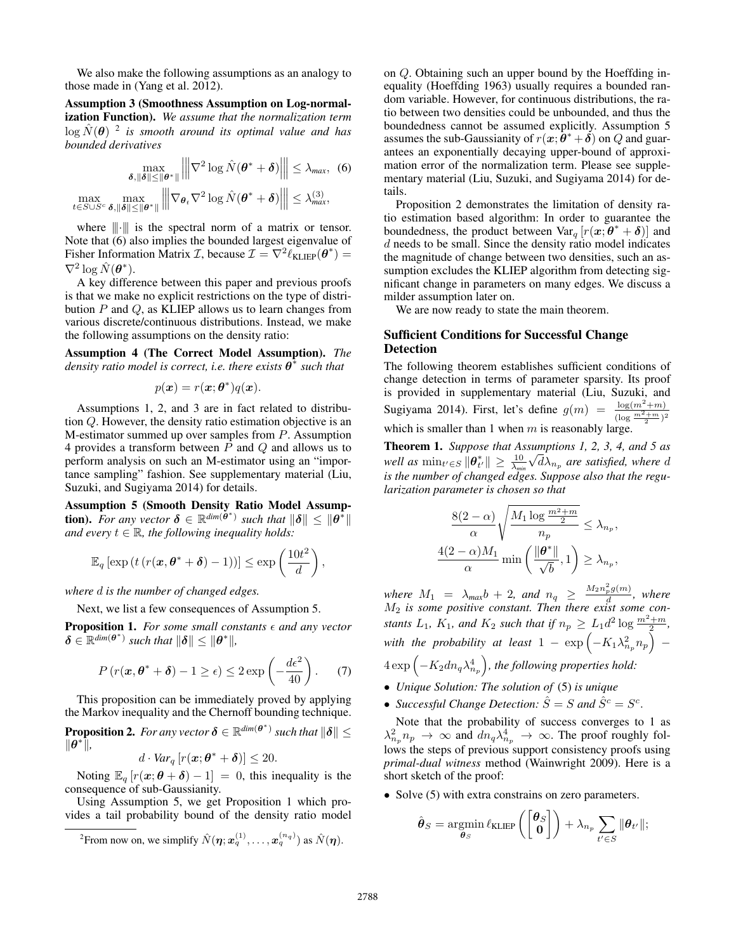We also make the following assumptions as an analogy to those made in (Yang et al. 2012).

Assumption 3 (Smoothness Assumption on Log-normalization Function). *We assume that the normalization term*  $\log \hat{N}(\theta)$  <sup>2</sup> is smooth around its optimal value and has *bounded derivatives*

$$
\max_{\delta, \|\delta\| \le \|\theta^*\|} \left\| \nabla^2 \log \hat{N}(\theta^* + \delta) \right\| \le \lambda_{\text{max}}, \tag{6}
$$
\n
$$
\max_{t \in S \cup S^c} \max_{\delta, \|\delta\| \le \|\theta^*\|} \left\| \nabla_{\theta_t} \nabla^2 \log \hat{N}(\theta^* + \delta) \right\| \le \lambda_{\text{max}}^{(3)},
$$

where  $\|\cdot\|$  is the spectral norm of a matrix or tensor. Note that (6) also implies the bounded largest eigenvalue of Fisher Information Matrix *T*, because  $\mathcal{I} = \nabla^2 \ell_{KLEP}(\theta^*)$  =  $\nabla^2 \log \hat{N}(\boldsymbol{\theta}^*).$ 

A key difference between this paper and previous proofs is that we make no explicit restrictions on the type of distribution  $P$  and  $Q$ , as KLIEP allows us to learn changes from various discrete/continuous distributions. Instead, we make the following assumptions on the density ratio:

Assumption 4 (The Correct Model Assumption). *The density ratio model is correct, i.e. there exists* θ ∗ *such that*

$$
p(\boldsymbol{x}) = r(\boldsymbol{x}; \boldsymbol{\theta}^*)q(\boldsymbol{x}).
$$

Assumptions 1, 2, and 3 are in fact related to distribution Q. However, the density ratio estimation objective is an M-estimator summed up over samples from P. Assumption 4 provides a transform between  $P$  and  $Q$  and allows us to perform analysis on such an M-estimator using an "importance sampling" fashion. See supplementary material (Liu, Suzuki, and Sugiyama 2014) for details.

Assumption 5 (Smooth Density Ratio Model Assump**tion).** For any vector  $\delta \in \mathbb{R}^{\dim(\tilde{\boldsymbol{\theta}}^*)}$  such that  $\|\delta\| \leq \|\boldsymbol{\theta}^*\|$ *and every*  $t \in \mathbb{R}$ *, the following inequality holds:* 

$$
\mathbb{E}_q \left[ \exp \left( t \left( r(\boldsymbol{x}, \boldsymbol{\theta}^* + \boldsymbol{\delta}) - 1 \right) \right) \right] \le \exp \left( \frac{10t^2}{d} \right),
$$

*where* d *is the number of changed edges.*

Next, we list a few consequences of Assumption 5.

**Proposition 1.** For some small constants  $\epsilon$  and any vector  $\delta \in \mathbb{R}^{dim(\theta^*)}$  such that  $\|\delta\| \leq \|\theta^*\|$ ,

$$
P(r(\boldsymbol{x}, \boldsymbol{\theta}^* + \boldsymbol{\delta}) - 1 \ge \epsilon) \le 2 \exp\left(-\frac{d\epsilon^2}{40}\right). \tag{7}
$$

This proposition can be immediately proved by applying the Markov inequality and the Chernoff bounding technique.

**Proposition 2.** For any vector  $\boldsymbol{\delta} \in \mathbb{R}^{dim(\boldsymbol{\theta}^*)}$  such that  $\|\boldsymbol{\delta}\| \leq$  $\|\theta^*\|,$ 

$$
d \cdot Var_q \left[ r(\boldsymbol{x}; \boldsymbol{\theta}^* + \boldsymbol{\delta}) \right] \leq 20.
$$

Noting  $\mathbb{E}_{q} [r(\boldsymbol{x}; \boldsymbol{\theta} + \boldsymbol{\delta}) - 1] = 0$ , this inequality is the consequence of sub-Gaussianity.

Using Assumption 5, we get Proposition 1 which provides a tail probability bound of the density ratio model on Q. Obtaining such an upper bound by the Hoeffding inequality (Hoeffding 1963) usually requires a bounded random variable. However, for continuous distributions, the ratio between two densities could be unbounded, and thus the boundedness cannot be assumed explicitly. Assumption 5 assumes the sub-Gaussianity of  $r(x; \hat{\theta}^* + \delta)$  on Q and guarantees an exponentially decaying upper-bound of approximation error of the normalization term. Please see supplementary material (Liu, Suzuki, and Sugiyama 2014) for details.

Proposition 2 demonstrates the limitation of density ratio estimation based algorithm: In order to guarantee the boundedness, the product between  $\text{Var}_q [r(x; \theta^* + \delta)]$  and  $d$  needs to be small. Since the density ratio model indicates the magnitude of change between two densities, such an assumption excludes the KLIEP algorithm from detecting significant change in parameters on many edges. We discuss a milder assumption later on.

We are now ready to state the main theorem.

## Sufficient Conditions for Successful Change Detection

The following theorem establishes sufficient conditions of change detection in terms of parameter sparsity. Its proof is provided in supplementary material (Liu, Suzuki, and Sugiyama 2014). First, let's define  $g(m) = \frac{\log(m^2 + m)}{(\log \frac{m^2 + m}{2})^2}$ which is smaller than 1 when  $m$  is reasonably large.

Theorem 1. *Suppose that Assumptions 1, 2, 3, 4, and 5 as* √ well as  $\min_{t' \in S} \|\boldsymbol{\theta}_{t'}^*\| \geq \frac{10}{\lambda_{min}} \sqrt{d} \lambda_{n_p}$  are satisfied, where  $d$ *is the number of changed edges. Suppose also that the regularization parameter is chosen so that*

$$
\frac{8(2-\alpha)}{\alpha} \sqrt{\frac{M_1 \log \frac{m^2 + m}{2}}{n_p}} \le \lambda_{n_p},
$$
  

$$
\frac{(2-\alpha)M_1}{\alpha} \min \left(\frac{\|\boldsymbol{\theta}^*\|}{\sqrt{b}}, 1\right) \ge \lambda_{n_p},
$$

*where*  $M_1 = \lambda_{max} b + 2$ , and  $n_q \geq \frac{M_2 n_p^2 g(m)}{d}$  $\frac{p^{g(m)}}{d}$ , where M<sup>2</sup> *is some positive constant. Then there exist some constants*  $L_1$ ,  $K_1$ , and  $K_2$  *such that if*  $n_p \ge L_1 d^2 \log \frac{m^2 + m}{2}$ , with the probability at least  $1 - \exp\left(- K_1 \lambda_{n_p}^2 n_p\right)$  –  $4\exp\left(-K_2dn_q\lambda_{n_p}^4\right)$ , the following properties hold:

• *Unique Solution: The solution of* (5) *is unique*

 $\frac{4}{1}$ 

• *Successful Change Detection:*  $\hat{S} = S$  and  $\hat{S}^c = S^c$ .

Note that the probability of success converges to 1 as  $\lambda_{n_p}^2 n_p \to \infty$  and  $dn_q \lambda_{n_p}^4 \to \infty$ . The proof roughly follows the steps of previous support consistency proofs using *primal-dual witness* method (Wainwright 2009). Here is a short sketch of the proof:

• Solve (5) with extra constrains on zero parameters.

$$
\hat{\boldsymbol{\theta}}_S = \operatorname*{argmin}_{\boldsymbol{\theta}_S} \ell_{\text{KLIEP}} \left( \begin{bmatrix} \boldsymbol{\theta}_S \\ \mathbf{0} \end{bmatrix} \right) + \lambda_{n_p} \sum_{t' \in S} \| \boldsymbol{\theta}_{t'} \|;
$$

<sup>&</sup>lt;sup>2</sup> From now on, we simplify  $\hat{N}(\eta; x_q^{(1)}, \dots, x_q^{(n_q)})$  as  $\hat{N}(\eta)$ .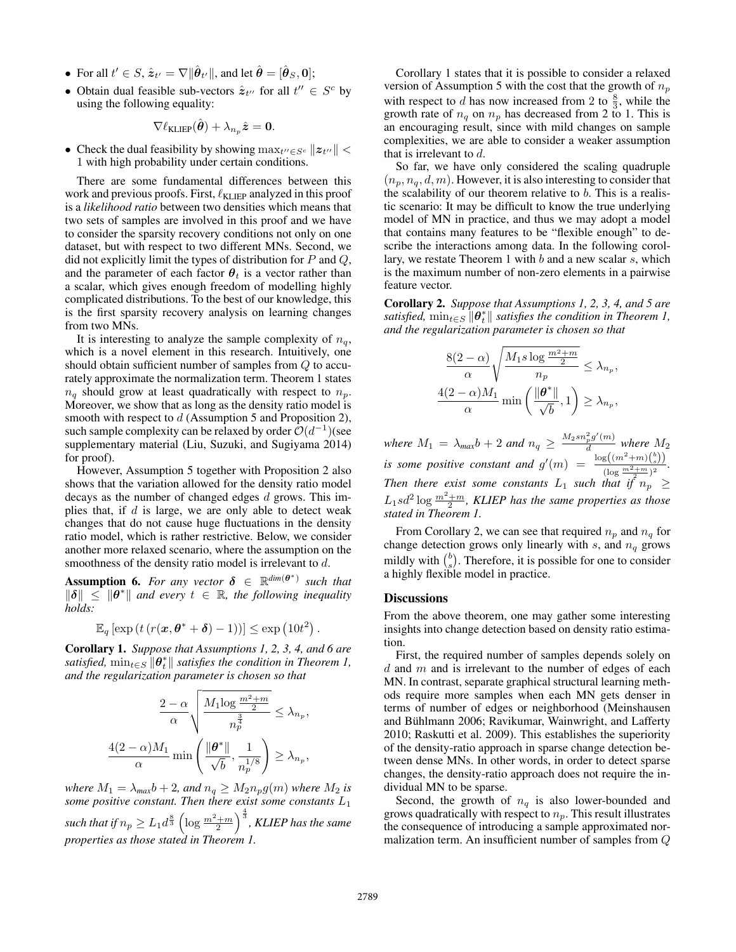- For all  $t' \in S$ ,  $\hat{\mathbf{z}}_{t'} = \nabla ||\hat{\boldsymbol{\theta}}_{t'}||$ , and let  $\hat{\boldsymbol{\theta}} = [\hat{\boldsymbol{\theta}}_S, \mathbf{0}];$
- Obtain dual feasible sub-vectors  $\hat{z}_{t}$  for all  $t'' \in S^c$  by using the following equality:

$$
\nabla \ell_{\mathrm{KLIEP}}(\hat{\boldsymbol{\theta}}) + \lambda_{n_p} \hat{\boldsymbol{z}} = \mathbf{0}.
$$

• Check the dual feasibility by showing  $\max_{t'' \in S^c} ||z_{t''}||$  < 1 with high probability under certain conditions.

There are some fundamental differences between this work and previous proofs. First,  $\ell_{\text{KLIEP}}$  analyzed in this proof is a *likelihood ratio* between two densities which means that two sets of samples are involved in this proof and we have to consider the sparsity recovery conditions not only on one dataset, but with respect to two different MNs. Second, we did not explicitly limit the types of distribution for  $P$  and  $Q$ , and the parameter of each factor  $\theta_t$  is a vector rather than a scalar, which gives enough freedom of modelling highly complicated distributions. To the best of our knowledge, this is the first sparsity recovery analysis on learning changes from two MNs.

It is interesting to analyze the sample complexity of  $n_q$ , which is a novel element in this research. Intuitively, one should obtain sufficient number of samples from Q to accurately approximate the normalization term. Theorem 1 states  $n_q$  should grow at least quadratically with respect to  $n_p$ . Moreover, we show that as long as the density ratio model is smooth with respect to  $d$  (Assumption 5 and Proposition 2), such sample complexity can be relaxed by order  $O(d^{-1})$  (see supplementary material (Liu, Suzuki, and Sugiyama 2014) for proof).

However, Assumption 5 together with Proposition 2 also shows that the variation allowed for the density ratio model decays as the number of changed edges d grows. This implies that, if  $d$  is large, we are only able to detect weak changes that do not cause huge fluctuations in the density ratio model, which is rather restrictive. Below, we consider another more relaxed scenario, where the assumption on the smoothness of the density ratio model is irrelevant to d.

**Assumption 6.** For any vector  $\delta \in \mathbb{R}^{\dim(\theta^*)}$  such that  $\|\delta\| \leq \|\theta^*\|$  and every  $t \in \mathbb{R}$ , the following inequality *holds:*

$$
\mathbb{E}_q \left[ \exp \left( t \left( r(\boldsymbol{x}, \boldsymbol{\theta}^* + \boldsymbol{\delta}) - 1 \right) \right) \right] \le \exp \left( 10t^2 \right)
$$

Corollary 1. *Suppose that Assumptions 1, 2, 3, 4, and 6 are satisfied,*  $\min_{t \in S} \|\theta_t^*\|$  *satisfies the condition in Theorem 1, and the regularization parameter is chosen so that*

$$
\frac{2-\alpha}{\alpha} \sqrt{\frac{M_1 \log \frac{m^2 + m}{2}}{n_p^{\frac{3}{4}}}} \leq \lambda_{n_p},
$$
  

$$
\frac{4(2-\alpha)M_1}{\alpha} \min \left( \frac{\|\boldsymbol{\theta}^*\|}{\sqrt{b}}, \frac{1}{n_p^{1/8}} \right) \geq \lambda_{n_p},
$$

*where*  $M_1 = \lambda_{max} b + 2$ *, and*  $n_q \geq M_2 n_p g(m)$  *where*  $M_2$  *is some positive constant. Then there exist some constants* L<sup>1</sup> such that if  $n_p\ge L_1d^{\frac{8}{3}}\left(\log\frac{m^2+m}{2}\right)^{\frac{4}{3}}$ , KLIEP has the same *properties as those stated in Theorem 1.*

Corollary 1 states that it is possible to consider a relaxed version of Assumption 5 with the cost that the growth of  $n_p$ with respect to d has now increased from 2 to  $\frac{8}{3}$ , while the growth rate of  $n_q$  on  $n_p$  has decreased from 2 to 1. This is an encouraging result, since with mild changes on sample complexities, we are able to consider a weaker assumption that is irrelevant to  $d$ .

So far, we have only considered the scaling quadruple  $(n_n, n_q, d, m)$ . However, it is also interesting to consider that the scalability of our theorem relative to  $b$ . This is a realistic scenario: It may be difficult to know the true underlying model of MN in practice, and thus we may adopt a model that contains many features to be "flexible enough" to describe the interactions among data. In the following corollary, we restate Theorem 1 with b and a new scalar s, which is the maximum number of non-zero elements in a pairwise feature vector.

Corollary 2. *Suppose that Assumptions 1, 2, 3, 4, and 5 are satisfied,*  $\min_{t \in S} \|\theta_t^*\|$  *satisfies the condition in Theorem 1, and the regularization parameter is chosen so that*

$$
\frac{8(2-\alpha)}{\alpha} \sqrt{\frac{M_1 s \log \frac{m^2 + m}{2}}{n_p}} \le \lambda_{n_p},
$$
  

$$
\frac{4(2-\alpha)M_1}{\alpha} \min \left( \frac{\|\boldsymbol{\theta}^*\|}{\sqrt{b}}, 1 \right) \ge \lambda_{n_p},
$$

*where*  $M_1 = \lambda_{max} b + 2$  *and*  $n_q \geq \frac{M_2 s n_p^2 g'(m)}{d}$  $\frac{p^{g}(m)}{d}$  where  $M_2$ *is some positive constant and*  $g'(m) = \frac{\log((m^2+m)(\frac{b}{s}))}{(m^2+m^2)}$  $\frac{\log((m+m)(s))}{(\log \frac{m^2+m}{2})^2}$ . *Then there exist some constants*  $L_1$  *such that if*  $n_p$  $\ge$  $L_1 s d^2 \log \frac{m^2+m}{2}$ , KLIEP has the same properties as those *stated in Theorem 1.*

From Corollary 2, we can see that required  $n_p$  and  $n_q$  for change detection grows only linearly with s, and  $n_q$  grows mildly with  $\binom{b}{s}$ . Therefore, it is possible for one to consider a highly flexible model in practice.

#### **Discussions**

From the above theorem, one may gather some interesting insights into change detection based on density ratio estimation.

First, the required number of samples depends solely on  $d$  and  $m$  and is irrelevant to the number of edges of each MN. In contrast, separate graphical structural learning methods require more samples when each MN gets denser in terms of number of edges or neighborhood (Meinshausen and Bühlmann 2006; Ravikumar, Wainwright, and Lafferty 2010; Raskutti et al. 2009). This establishes the superiority of the density-ratio approach in sparse change detection between dense MNs. In other words, in order to detect sparse changes, the density-ratio approach does not require the individual MN to be sparse.

Second, the growth of  $n_q$  is also lower-bounded and grows quadratically with respect to  $n_p$ . This result illustrates the consequence of introducing a sample approximated normalization term. An insufficient number of samples from Q

.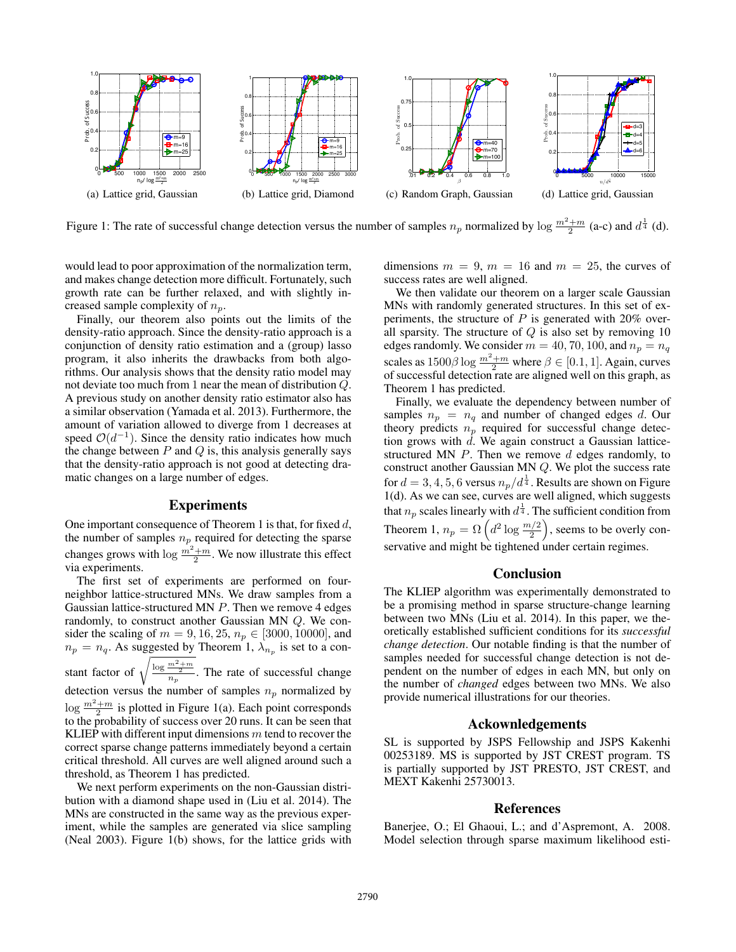

Figure 1: The rate of successful change detection versus the number of samples  $n_p$  normalized by log  $\frac{m^2+m}{2}$  (a-c) and  $d^{\frac{1}{4}}$  (d).

would lead to poor approximation of the normalization term, and makes change detection more difficult. Fortunately, such growth rate can be further relaxed, and with slightly increased sample complexity of  $n_p$ .

Finally, our theorem also points out the limits of the density-ratio approach. Since the density-ratio approach is a conjunction of density ratio estimation and a (group) lasso program, it also inherits the drawbacks from both algorithms. Our analysis shows that the density ratio model may not deviate too much from 1 near the mean of distribution Q. A previous study on another density ratio estimator also has a similar observation (Yamada et al. 2013). Furthermore, the amount of variation allowed to diverge from 1 decreases at speed  $\mathcal{O}(d^{-1})$ . Since the density ratio indicates how much the change between  $P$  and  $Q$  is, this analysis generally says that the density-ratio approach is not good at detecting dramatic changes on a large number of edges.

### Experiments

One important consequence of Theorem 1 is that, for fixed d, the number of samples  $n_p$  required for detecting the sparse changes grows with  $\log \frac{m^2+m}{2}$ . We now illustrate this effect via experiments.

The first set of experiments are performed on fourneighbor lattice-structured MNs. We draw samples from a Gaussian lattice-structured MN P. Then we remove 4 edges randomly, to construct another Gaussian MN Q. We consider the scaling of  $m = 9, 16, 25, n_p \in [3000, 10000]$ , and  $n_p = n_q$ . As suggested by Theorem 1,  $\lambda_{n_p}$  is set to a constant factor of  $\sqrt{\frac{\log \frac{m^2+m}{2}}{n_p}}$ . The rate of successful change detection versus the number of samples  $n_p$  normalized by  $\log \frac{m^2+m}{2}$  is plotted in Figure 1(a). Each point corresponds to the probability of success over 20 runs. It can be seen that KLIEP with different input dimensions  $m$  tend to recover the correct sparse change patterns immediately beyond a certain critical threshold. All curves are well aligned around such a threshold, as Theorem 1 has predicted.

We next perform experiments on the non-Gaussian distribution with a diamond shape used in (Liu et al. 2014). The MNs are constructed in the same way as the previous experiment, while the samples are generated via slice sampling (Neal 2003). Figure 1(b) shows, for the lattice grids with dimensions  $m = 9$ ,  $m = 16$  and  $m = 25$ , the curves of success rates are well aligned.

We then validate our theorem on a larger scale Gaussian MNs with randomly generated structures. In this set of experiments, the structure of  $P$  is generated with 20% overall sparsity. The structure of  $Q$  is also set by removing 10 edges randomly. We consider  $m = 40, 70, 100,$  and  $n_p = n_q$ scales as  $1500\beta \log \frac{m^2+m}{2}$  where  $\beta \in [0.1, 1]$ . Again, curves of successful detection rate are aligned well on this graph, as Theorem 1 has predicted.

Finally, we evaluate the dependency between number of samples  $n_p = n_q$  and number of changed edges d. Our theory predicts  $n_p$  required for successful change detection grows with  $d$ . We again construct a Gaussian latticestructured MN  $P$ . Then we remove  $d$  edges randomly, to construct another Gaussian MN Q. We plot the success rate for  $d = 3, 4, 5, 6$  versus  $n_p/d^{\frac{1}{4}}$ . Results are shown on Figure 1(d). As we can see, curves are well aligned, which suggests that  $n_p$  scales linearly with  $d^{\frac{1}{4}}.$  The sufficient condition from Theorem 1,  $n_p = \Omega\left(d^2 \log \frac{m/2}{2}\right)$ , seems to be overly conservative and might be tightened under certain regimes.

## Conclusion

The KLIEP algorithm was experimentally demonstrated to be a promising method in sparse structure-change learning between two MNs (Liu et al. 2014). In this paper, we theoretically established sufficient conditions for its *successful change detection*. Our notable finding is that the number of samples needed for successful change detection is not dependent on the number of edges in each MN, but only on the number of *changed* edges between two MNs. We also provide numerical illustrations for our theories.

#### Ackownledgements

SL is supported by JSPS Fellowship and JSPS Kakenhi 00253189. MS is supported by JST CREST program. TS is partially supported by JST PRESTO, JST CREST, and MEXT Kakenhi 25730013.

#### References

Banerjee, O.; El Ghaoui, L.; and d'Aspremont, A. 2008. Model selection through sparse maximum likelihood esti